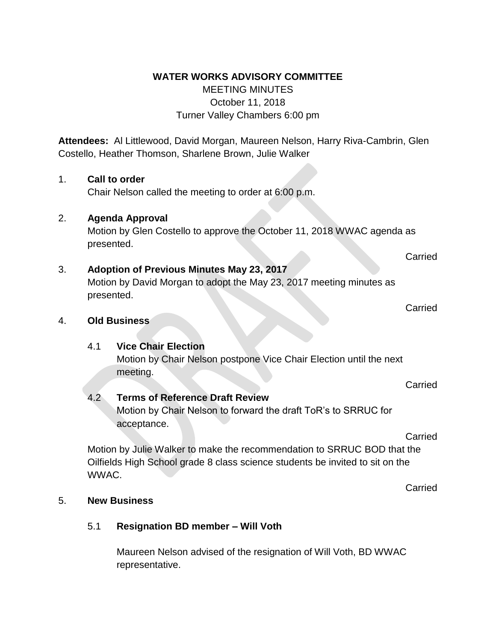#### **WATER WORKS ADVISORY COMMITTEE**

# MEETING MINUTES October 11, 2018 Turner Valley Chambers 6:00 pm

**Attendees:** Al Littlewood, David Morgan, Maureen Nelson, Harry Riva-Cambrin, Glen Costello, Heather Thomson, Sharlene Brown, Julie Walker

### 1. **Call to order**

Chair Nelson called the meeting to order at 6:00 p.m.

### 2. **Agenda Approval**

Motion by Glen Costello to approve the October 11, 2018 WWAC agenda as presented.

# 3. **Adoption of Previous Minutes May 23, 2017**

Motion by David Morgan to adopt the May 23, 2017 meeting minutes as presented.

#### 4. **Old Business**

# 4.1 **Vice Chair Election**

Motion by Chair Nelson postpone Vice Chair Election until the next meeting.

#### 4.2 **Terms of Reference Draft Review**

Motion by Chair Nelson to forward the draft ToR's to SRRUC for acceptance.

Carried

**Carried** 

Motion by Julie Walker to make the recommendation to SRRUC BOD that the Oilfields High School grade 8 class science students be invited to sit on the WWAC.

**Carried** 

#### 5. **New Business**

# 5.1 **Resignation BD member – Will Voth**

Maureen Nelson advised of the resignation of Will Voth, BD WWAC representative.

**Carried** 

**Carried**